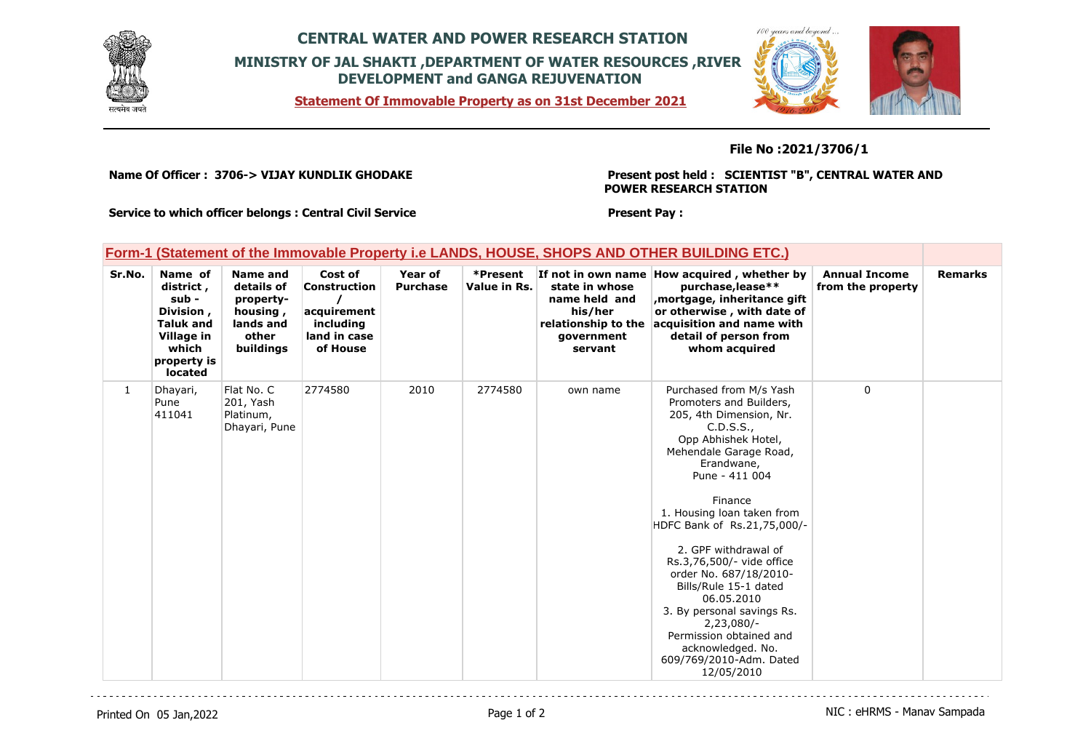

## **CENTRAL WATER AND POWER RESEARCH STATION MINISTRY OF JAL SHAKTI ,DEPARTMENT OF WATER RESOURCES ,RIVER DEVELOPMENT and GANGA REJUVENATION**

**Statement Of Immovable Property as on 31st December 2021**



## **File No :2021/3706/1**

**Name Of Officer : 3706-> VIJAY KUNDLIK GHODAKE** 

**Present post held : SCIENTIST "B", CENTRAL WATER AND POWER RESEARCH STATION**

**Service to which officer belongs : Central Civil Service**

## **Present Pay :**

|              | <u>Form-1 (Statement of the Immovable Property i.e LANDS, HOUSE, SHOPS AND OTHER BUILDING ETC.)</u>             |                                                                                    |                                                                                        |                            |                          |                                                                                            |                                                                                                                                                                                                                                                                                                                                                                                                                                                                                                                  |                                           |                |
|--------------|-----------------------------------------------------------------------------------------------------------------|------------------------------------------------------------------------------------|----------------------------------------------------------------------------------------|----------------------------|--------------------------|--------------------------------------------------------------------------------------------|------------------------------------------------------------------------------------------------------------------------------------------------------------------------------------------------------------------------------------------------------------------------------------------------------------------------------------------------------------------------------------------------------------------------------------------------------------------------------------------------------------------|-------------------------------------------|----------------|
| Sr.No.       | Name of<br>district,<br>sub -<br>Division,<br><b>Taluk and</b><br>Village in<br>which<br>property is<br>located | Name and<br>details of<br>property-<br>housing,<br>lands and<br>other<br>buildings | Cost of<br><b>Construction</b><br>acquirement<br>including<br>land in case<br>of House | Year of<br><b>Purchase</b> | *Present<br>Value in Rs. | state in whose<br>name held and<br>his/her<br>relationship to the<br>government<br>servant | If not in own name How acquired, whether by<br>purchase, lease**<br>mortgage, inheritance gift,<br>or otherwise, with date of<br>acquisition and name with<br>detail of person from<br>whom acquired                                                                                                                                                                                                                                                                                                             | <b>Annual Income</b><br>from the property | <b>Remarks</b> |
| $\mathbf{1}$ | Dhayari,<br>Pune<br>411041                                                                                      | Flat No. C<br>201, Yash<br>Platinum,<br>Dhayari, Pune                              | 2774580                                                                                | 2010                       | 2774580                  | own name                                                                                   | Purchased from M/s Yash<br>Promoters and Builders,<br>205, 4th Dimension, Nr.<br>C.D.S.S.,<br>Opp Abhishek Hotel,<br>Mehendale Garage Road,<br>Erandwane,<br>Pune - 411 004<br>Finance<br>1. Housing loan taken from<br>HDFC Bank of Rs.21,75,000/-<br>2. GPF withdrawal of<br>Rs.3,76,500/- vide office<br>order No. 687/18/2010-<br>Bills/Rule 15-1 dated<br>06.05.2010<br>3. By personal savings Rs.<br>$2,23,080/-$<br>Permission obtained and<br>acknowledged. No.<br>609/769/2010-Adm. Dated<br>12/05/2010 | $\mathbf 0$                               |                |